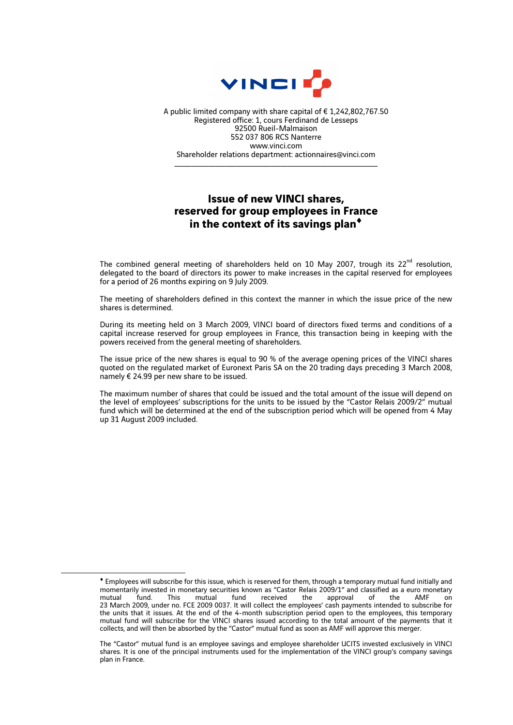

A public limited company with share capital of € 1,242,802,767.50 Registered office: 1, cours Ferdinand de Lesseps 92500 Rueil-Malmaison 552 037 806 RCS Nanterre www.vinci.com Shareholder relations department: actionnaires@vinci.com

\_\_\_\_\_\_\_\_\_\_\_\_\_\_\_\_\_\_\_\_\_\_\_\_\_\_\_\_\_\_\_\_\_\_\_\_

## **Issue of new VINCI shares, reserved for group employees in France in the context of its savings plan**♦

The combined general meeting of shareholders held on 10 May 2007, trough its  $22^{nd}$  resolution, delegated to the board of directors its power to make increases in the capital reserved for employees for a period of 26 months expiring on 9 July 2009.

The meeting of shareholders defined in this context the manner in which the issue price of the new shares is determined.

During its meeting held on 3 March 2009, VINCI board of directors fixed terms and conditions of a capital increase reserved for group employees in France, this transaction being in keeping with the powers received from the general meeting of shareholders.

The issue price of the new shares is equal to 90 % of the average opening prices of the VINCI shares quoted on the regulated market of Euronext Paris SA on the 20 trading days preceding 3 March 2008, namely € 24.99 per new share to be issued.

The maximum number of shares that could be issued and the total amount of the issue will depend on the level of employees' subscriptions for the units to be issued by the "Castor Relais 2009/2" mutual fund which will be determined at the end of the subscription period which will be opened from 4 May up 31 August 2009 included.

1

<sup>♦</sup> Employees will subscribe for this issue, which is reserved for them, through a temporary mutual fund initially and momentarily invested in monetary securities known as "Castor Relais 2009/1" and classified as a euro monetary mutual fund. This mutual fund received the approval of the AMF on 23 March 2009, under no. FCE 2009 0037. It will collect the employees' cash payments intended to subscribe for the units that it issues. At the end of the 4-month subscription period open to the employees, this temporary mutual fund will subscribe for the VINCI shares issued according to the total amount of the payments that it collects, and will then be absorbed by the "Castor" mutual fund as soon as AMF will approve this merger.

The "Castor" mutual fund is an employee savings and employee shareholder UCITS invested exclusively in VINCI shares. It is one of the principal instruments used for the implementation of the VINCI group's company savings plan in France.